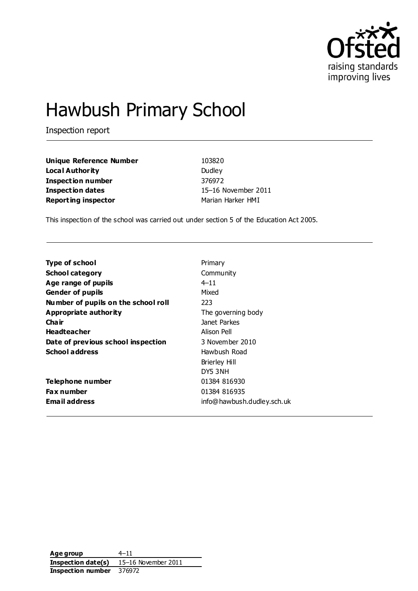

# Hawbush Primary School

Inspection report

| <b>Unique Reference Number</b> | 103820            |
|--------------------------------|-------------------|
| Local Authority                | Dudley            |
| <b>Inspection number</b>       | 376972            |
| <b>Inspection dates</b>        | 15-16 November 2  |
| <b>Reporting inspector</b>     | Marian Harker HMI |

**Unique Reference Number** 103820 **Local Dudley Inspection number** 376972 **Inspection dates** 15–16 November 2011

This inspection of the school was carried out under section 5 of the Education Act 2005.

| <b>Type of school</b>               | Primary                    |
|-------------------------------------|----------------------------|
| <b>School category</b>              | Community                  |
| Age range of pupils                 | $4 - 11$                   |
| <b>Gender of pupils</b>             | Mixed                      |
| Number of pupils on the school roll | 223                        |
| Appropriate authority               | The governing body         |
| Cha ir                              | Janet Parkes               |
| <b>Headteacher</b>                  | Alison Pell                |
| Date of previous school inspection  | 3 November 2010            |
| <b>School address</b>               | Hawbush Road               |
|                                     | <b>Brierley Hill</b>       |
|                                     | DY5 3NH                    |
| Telephone number                    | 01384 816930               |
| <b>Fax number</b>                   | 01384 816935               |
| <b>Email address</b>                | info@hawbush.dudley.sch.uk |

**Age group** 4–11 **Inspection date(s)** 15–16 November 2011 **Inspection number** 376972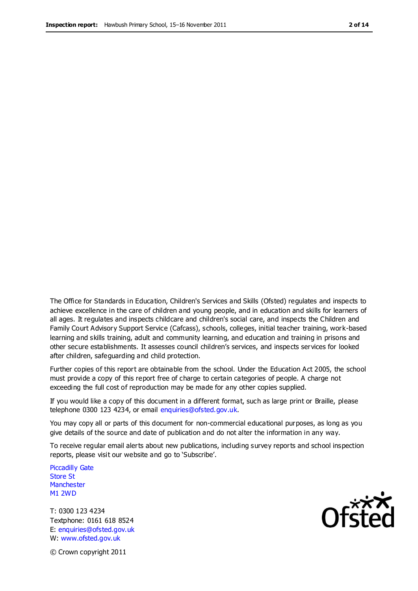The Office for Standards in Education, Children's Services and Skills (Ofsted) regulates and inspects to achieve excellence in the care of children and young people, and in education and skills for learners of all ages. It regulates and inspects childcare and children's social care, and inspects the Children and Family Court Advisory Support Service (Cafcass), schools, colleges, initial teacher training, work-based learning and skills training, adult and community learning, and education and training in prisons and other secure establishments. It assesses council children's services, and inspects services for looked after children, safeguarding and child protection.

Further copies of this report are obtainable from the school. Under the Education Act 2005, the school must provide a copy of this report free of charge to certain categories of people. A charge not exceeding the full cost of reproduction may be made for any other copies supplied.

If you would like a copy of this document in a different format, such as large print or Braille, please telephone 0300 123 4234, or email enquiries@ofsted.gov.uk.

You may copy all or parts of this document for non-commercial educational purposes, as long as you give details of the source and date of publication and do not alter the information in any way.

To receive regular email alerts about new publications, including survey reports and school inspection reports, please visit our website and go to 'Subscribe'.

Piccadilly Gate Store St **Manchester** M1 2WD

T: 0300 123 4234 Textphone: 0161 618 8524 E: enquiries@ofsted.gov.uk W: www.ofsted.gov.uk

**Ofsted** 

© Crown copyright 2011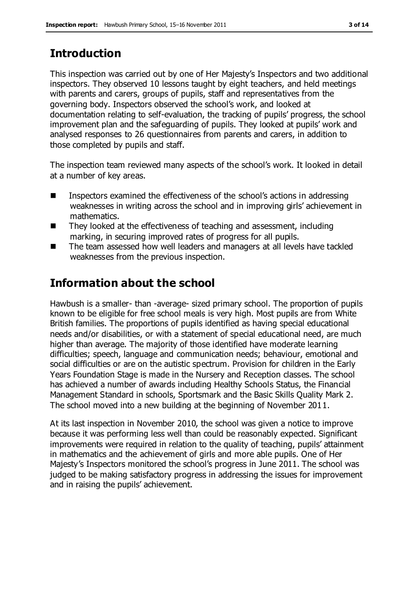# **Introduction**

This inspection was carried out by one of Her Majesty's Inspectors and two additional inspectors. They observed 10 lessons taught by eight teachers, and held meetings with parents and carers, groups of pupils, staff and representatives from the governing body. Inspectors observed the school's work, and looked at documentation relating to self-evaluation, the tracking of pupils' progress, the school improvement plan and the safeguarding of pupils. They looked at pupils' work and analysed responses to 26 questionnaires from parents and carers, in addition to those completed by pupils and staff.

The inspection team reviewed many aspects of the school's work. It looked in detail at a number of key areas.

- Inspectors examined the effectiveness of the school's actions in addressing weaknesses in writing across the school and in improving girls' achievement in mathematics.
- They looked at the effectiveness of teaching and assessment, including marking, in securing improved rates of progress for all pupils.
- The team assessed how well leaders and managers at all levels have tackled weaknesses from the previous inspection.

# **Information about the school**

Hawbush is a smaller- than -average- sized primary school. The proportion of pupils known to be eligible for free school meals is very high. Most pupils are from White British families. The proportions of pupils identified as having special educational needs and/or disabilities, or with a statement of special educational need, are much higher than average. The majority of those identified have moderate learning difficulties; speech, language and communication needs; behaviour, emotional and social difficulties or are on the autistic spectrum. Provision for children in the Early Years Foundation Stage is made in the Nursery and Reception classes. The school has achieved a number of awards including Healthy Schools Status, the Financial Management Standard in schools, Sportsmark and the Basic Skills Quality Mark 2. The school moved into a new building at the beginning of November 2011.

At its last inspection in November 2010, the school was given a notice to improve because it was performing less well than could be reasonably expected. Significant improvements were required in relation to the quality of teaching, pupils' attainment in mathematics and the achievement of girls and more able pupils. One of Her Majesty's Inspectors monitored the school's progress in June 2011. The school was judged to be making satisfactory progress in addressing the issues for improvement and in raising the pupils' achievement.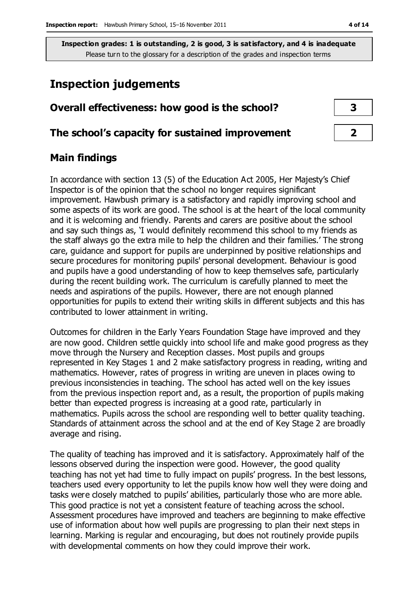# **Inspection judgements**

| Overall effectiveness: how good is the school?  |  |
|-------------------------------------------------|--|
| The school's capacity for sustained improvement |  |

# **Main findings**

In accordance with section 13 (5) of the Education Act 2005, Her Majesty's Chief Inspector is of the opinion that the school no longer requires significant improvement. Hawbush primary is a satisfactory and rapidly improving school and some aspects of its work are good. The school is at the heart of the local community and it is welcoming and friendly. Parents and carers are positive about the school and say such things as, 'I would definitely recommend this school to my friends as the staff always go the extra mile to help the children and their families.' The strong care, guidance and support for pupils are underpinned by positive relationships and secure procedures for monitoring pupils' personal development. Behaviour is good and pupils have a good understanding of how to keep themselves safe, particularly during the recent building work. The curriculum is carefully planned to meet the needs and aspirations of the pupils. However, there are not enough planned opportunities for pupils to extend their writing skills in different subjects and this has contributed to lower attainment in writing.

Outcomes for children in the Early Years Foundation Stage have improved and they are now good. Children settle quickly into school life and make good progress as they move through the Nursery and Reception classes. Most pupils and groups represented in Key Stages 1 and 2 make satisfactory progress in reading, writing and mathematics. However, rates of progress in writing are uneven in places owing to previous inconsistencies in teaching. The school has acted well on the key issues from the previous inspection report and, as a result, the proportion of pupils making better than expected progress is increasing at a good rate, particularly in mathematics. Pupils across the school are responding well to better quality teaching. Standards of attainment across the school and at the end of Key Stage 2 are broadly average and rising.

The quality of teaching has improved and it is satisfactory. Approximately half of the lessons observed during the inspection were good. However, the good quality teaching has not yet had time to fully impact on pupils' progress. In the best lessons, teachers used every opportunity to let the pupils know how well they were doing and tasks were closely matched to pupils' abilities, particularly those who are more able. This good practice is not yet a consistent feature of teaching across the school. Assessment procedures have improved and teachers are beginning to make effective use of information about how well pupils are progressing to plan their next steps in learning. Marking is regular and encouraging, but does not routinely provide pupils with developmental comments on how they could improve their work.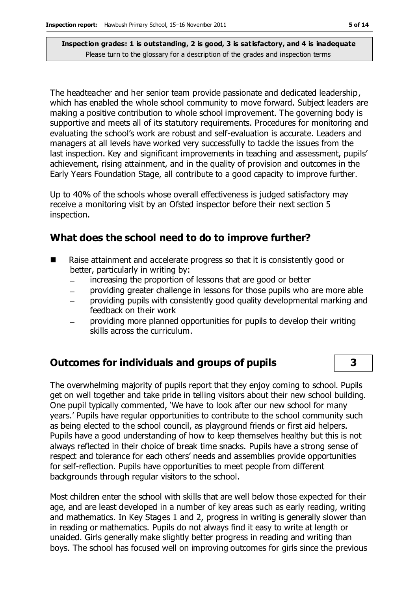The headteacher and her senior team provide passionate and dedicated leadership, which has enabled the whole school community to move forward. Subject leaders are making a positive contribution to whole school improvement. The governing body is supportive and meets all of its statutory requirements. Procedures for monitoring and evaluating the school's work are robust and self-evaluation is accurate. Leaders and managers at all levels have worked very successfully to tackle the issues from the last inspection. Key and significant improvements in teaching and assessment, pupils' achievement, rising attainment, and in the quality of provision and outcomes in the Early Years Foundation Stage, all contribute to a good capacity to improve further.

Up to 40% of the schools whose overall effectiveness is judged satisfactory may receive a monitoring visit by an Ofsted inspector before their next section 5 inspection.

# **What does the school need to do to improve further?**

- Raise attainment and accelerate progress so that it is consistently good or better, particularly in writing by:
	- increasing the proportion of lessons that are good or better  $\equiv$
	- providing greater challenge in lessons for those pupils who are more able
	- providing pupils with consistently good quality developmental marking and feedback on their work
	- providing more planned opportunities for pupils to develop their writing skills across the curriculum.

# **Outcomes for individuals and groups of pupils 3**

The overwhelming majority of pupils report that they enjoy coming to school. Pupils get on well together and take pride in telling visitors about their new school building. One pupil typically commented, 'We have to look after our new school for many years.' Pupils have regular opportunities to contribute to the school community such as being elected to the school council, as playground friends or first aid helpers. Pupils have a good understanding of how to keep themselves healthy but this is not always reflected in their choice of break time snacks. Pupils have a strong sense of respect and tolerance for each others' needs and assemblies provide opportunities for self-reflection. Pupils have opportunities to meet people from different backgrounds through regular visitors to the school.

Most children enter the school with skills that are well below those expected for their age, and are least developed in a number of key areas such as early reading, writing and mathematics. In Key Stages 1 and 2, progress in writing is generally slower than in reading or mathematics. Pupils do not always find it easy to write at length or unaided. Girls generally make slightly better progress in reading and writing than boys. The school has focused well on improving outcomes for girls since the previous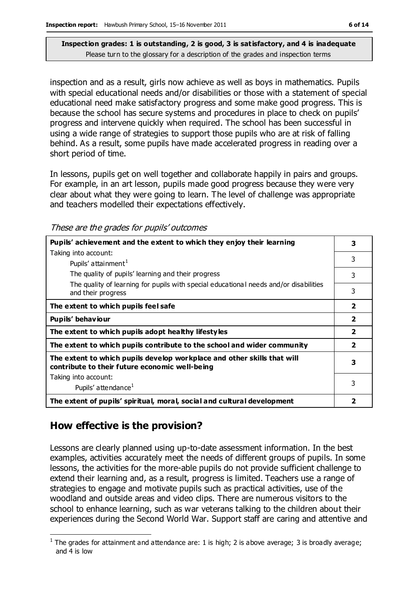inspection and as a result, girls now achieve as well as boys in mathematics. Pupils with special educational needs and/or disabilities or those with a statement of special educational need make satisfactory progress and some make good progress. This is because the school has secure systems and procedures in place to check on pupils' progress and intervene quickly when required. The school has been successful in using a wide range of strategies to support those pupils who are at risk of falling behind. As a result, some pupils have made accelerated progress in reading over a short period of time.

In lessons, pupils get on well together and collaborate happily in pairs and groups. For example, in an art lesson, pupils made good progress because they were very clear about what they were going to learn. The level of challenge was appropriate and teachers modelled their expectations effectively.

These are the grades for pupils' outcomes

| Pupils' achievement and the extent to which they enjoy their learning                                                     | 3                       |
|---------------------------------------------------------------------------------------------------------------------------|-------------------------|
| Taking into account:                                                                                                      | 3                       |
| Pupils' attainment <sup>1</sup>                                                                                           |                         |
| The quality of pupils' learning and their progress                                                                        | 3                       |
| The quality of learning for pupils with special educational needs and/or disabilities<br>and their progress               | 3                       |
| The extent to which pupils feel safe                                                                                      | $\overline{2}$          |
| Pupils' behaviour                                                                                                         | $\overline{\mathbf{2}}$ |
| The extent to which pupils adopt healthy lifestyles                                                                       | $\overline{2}$          |
| The extent to which pupils contribute to the school and wider community                                                   | $\overline{2}$          |
| The extent to which pupils develop workplace and other skills that will<br>contribute to their future economic well-being | 3                       |
| Taking into account:                                                                                                      |                         |
| Pupils' attendance <sup>1</sup>                                                                                           | 3                       |
| The extent of pupils' spiritual, moral, social and cultural development                                                   | 2                       |

# **How effective is the provision?**

Lessons are clearly planned using up-to-date assessment information. In the best examples, activities accurately meet the needs of different groups of pupils. In some lessons, the activities for the more-able pupils do not provide sufficient challenge to extend their learning and, as a result, progress is limited. Teachers use a range of strategies to engage and motivate pupils such as practical activities, use of the woodland and outside areas and video clips. There are numerous visitors to the school to enhance learning, such as war veterans talking to the children about their experiences during the Second World War. Support staff are caring and attentive and

 $\overline{a}$  $<sup>1</sup>$  The grades for attainment and attendance are: 1 is high; 2 is above average; 3 is broadly average;</sup> and 4 is low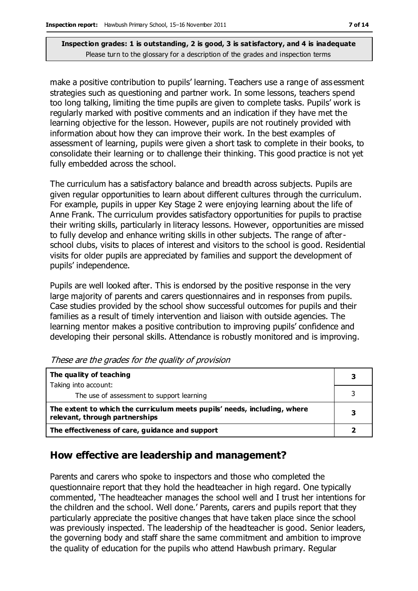make a positive contribution to pupils' learning. Teachers use a range of assessment strategies such as questioning and partner work. In some lessons, teachers spend too long talking, limiting the time pupils are given to complete tasks. Pupils' work is regularly marked with positive comments and an indication if they have met the learning objective for the lesson. However, pupils are not routinely provided with information about how they can improve their work. In the best examples of assessment of learning, pupils were given a short task to complete in their books, to consolidate their learning or to challenge their thinking. This good practice is not yet fully embedded across the school.

The curriculum has a satisfactory balance and breadth across subjects. Pupils are given regular opportunities to learn about different cultures through the curriculum. For example, pupils in upper Key Stage 2 were enjoying learning about the life of Anne Frank. The curriculum provides satisfactory opportunities for pupils to practise their writing skills, particularly in literacy lessons. However, opportunities are missed to fully develop and enhance writing skills in other subjects. The range of afterschool clubs, visits to places of interest and visitors to the school is good. Residential visits for older pupils are appreciated by families and support the development of pupils' independence.

Pupils are well looked after. This is endorsed by the positive response in the very large majority of parents and carers questionnaires and in responses from pupils. Case studies provided by the school show successful outcomes for pupils and their families as a result of timely intervention and liaison with outside agencies. The learning mentor makes a positive contribution to improving pupils' confidence and developing their personal skills. Attendance is robustly monitored and is improving.

| The quality of teaching                                                                                    |  |
|------------------------------------------------------------------------------------------------------------|--|
| Taking into account:                                                                                       |  |
| The use of assessment to support learning                                                                  |  |
| The extent to which the curriculum meets pupils' needs, including, where<br>relevant, through partnerships |  |
| The effectiveness of care, guidance and support                                                            |  |

These are the grades for the quality of provision

### **How effective are leadership and management?**

Parents and carers who spoke to inspectors and those who completed the questionnaire report that they hold the headteacher in high regard. One typically commented, 'The headteacher manages the school well and I trust her intentions for the children and the school. Well done.' Parents, carers and pupils report that they particularly appreciate the positive changes that have taken place since the school was previously inspected. The leadership of the headteacher is good. Senior leaders, the governing body and staff share the same commitment and ambition to improve the quality of education for the pupils who attend Hawbush primary. Regular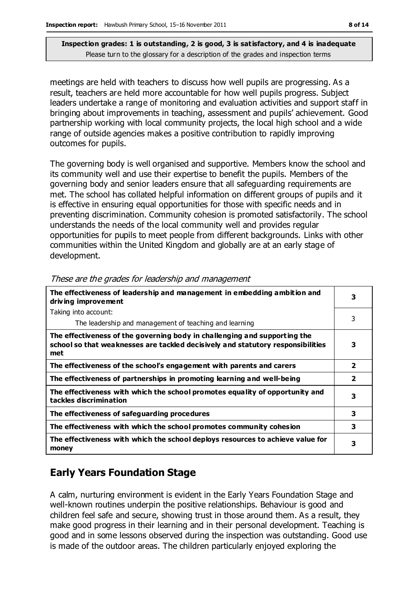meetings are held with teachers to discuss how well pupils are progressing. As a result, teachers are held more accountable for how well pupils progress. Subject leaders undertake a range of monitoring and evaluation activities and support staff in bringing about improvements in teaching, assessment and pupils' achievement. Good partnership working with local community projects, the local high school and a wide range of outside agencies makes a positive contribution to rapidly improving outcomes for pupils.

The governing body is well organised and supportive. Members know the school and its community well and use their expertise to benefit the pupils. Members of the governing body and senior leaders ensure that all safeguarding requirements are met. The school has collated helpful information on different groups of pupils and it is effective in ensuring equal opportunities for those with specific needs and in preventing discrimination. Community cohesion is promoted satisfactorily. The school understands the needs of the local community well and provides regular opportunities for pupils to meet people from different backgrounds. Links with other communities within the United Kingdom and globally are at an early stage of development.

| The effectiveness of leadership and management in embedding ambition and<br>driving improvement                                                                     | 3              |
|---------------------------------------------------------------------------------------------------------------------------------------------------------------------|----------------|
| Taking into account:                                                                                                                                                |                |
| The leadership and management of teaching and learning                                                                                                              | 3              |
| The effectiveness of the governing body in challenging and supporting the<br>school so that weaknesses are tackled decisively and statutory responsibilities<br>met | 3              |
| The effectiveness of the school's engagement with parents and carers                                                                                                | $\overline{2}$ |
| The effectiveness of partnerships in promoting learning and well-being                                                                                              | $\overline{2}$ |
| The effectiveness with which the school promotes equality of opportunity and<br>tackles discrimination                                                              | 3              |
| The effectiveness of safeguarding procedures                                                                                                                        | 3              |
| The effectiveness with which the school promotes community cohesion                                                                                                 | 3              |
| The effectiveness with which the school deploys resources to achieve value for<br>money                                                                             | 3              |

#### These are the grades for leadership and management

# **Early Years Foundation Stage**

A calm, nurturing environment is evident in the Early Years Foundation Stage and well-known routines underpin the positive relationships. Behaviour is good and children feel safe and secure, showing trust in those around them. As a result, they make good progress in their learning and in their personal development. Teaching is good and in some lessons observed during the inspection was outstanding. Good use is made of the outdoor areas. The children particularly enjoyed exploring the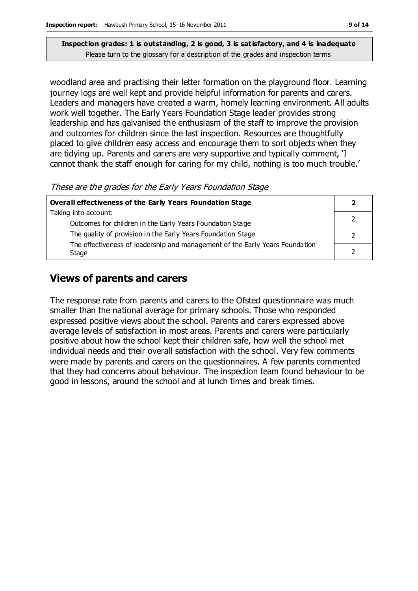woodland area and practising their letter formation on the playground floor. Learning journey logs are well kept and provide helpful information for parents and carers. Leaders and managers have created a warm, homely learning environment. All adults work well together. The Early Years Foundation Stage leader provides strong leadership and has galvanised the enthusiasm of the staff to improve the provision and outcomes for children since the last inspection. Resources are thoughtfully placed to give children easy access and encourage them to sort objects when they are tidying up. Parents and carers are very supportive and typically comment, 'I cannot thank the staff enough for caring for my child, nothing is too much trouble.'

These are the grades for the Early Years Foundation Stage

| Overall effectiveness of the Early Years Foundation Stage                             |  |
|---------------------------------------------------------------------------------------|--|
| Taking into account:                                                                  |  |
| Outcomes for children in the Early Years Foundation Stage                             |  |
| The quality of provision in the Early Years Foundation Stage                          |  |
| The effectiveness of leadership and management of the Early Years Foundation<br>Stage |  |
|                                                                                       |  |

# **Views of parents and carers**

The response rate from parents and carers to the Ofsted questionnaire was much smaller than the national average for primary schools. Those who responded expressed positive views about the school. Parents and carers expressed above average levels of satisfaction in most areas. Parents and carers were particularly positive about how the school kept their children safe, how well the school met individual needs and their overall satisfaction with the school. Very few comments were made by parents and carers on the questionnaires. A few parents commented that they had concerns about behaviour. The inspection team found behaviour to be good in lessons, around the school and at lunch times and break times.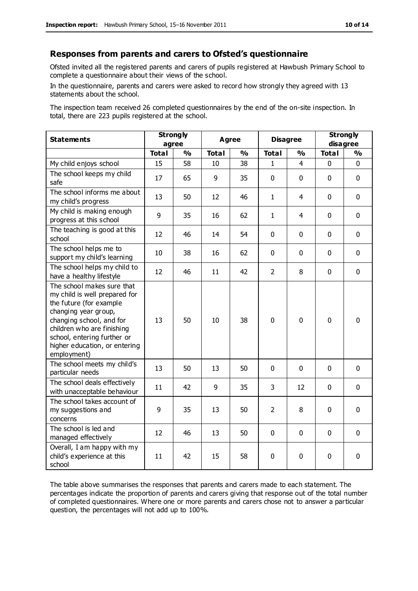#### **Responses from parents and carers to Ofsted's questionnaire**

Ofsted invited all the registered parents and carers of pupils registered at Hawbush Primary School to complete a questionnaire about their views of the school.

In the questionnaire, parents and carers were asked to record how strongly they agreed with 13 statements about the school.

The inspection team received 26 completed questionnaires by the end of the on-site inspection. In total, there are 223 pupils registered at the school.

| <b>Statements</b>                                                                                                                                                                                                                                       | <b>Strongly</b><br>agree |               | Agree        |    | <b>Disagree</b> |                | <b>Strongly</b><br>disagree |             |
|---------------------------------------------------------------------------------------------------------------------------------------------------------------------------------------------------------------------------------------------------------|--------------------------|---------------|--------------|----|-----------------|----------------|-----------------------------|-------------|
|                                                                                                                                                                                                                                                         | <b>Total</b>             | $\frac{0}{0}$ | <b>Total</b> | %  | <b>Total</b>    | %              | <b>Total</b>                | %           |
| My child enjoys school                                                                                                                                                                                                                                  | 15                       | 58            | 10           | 38 | $\mathbf{1}$    | $\overline{4}$ | $\mathbf 0$                 | $\mathbf 0$ |
| The school keeps my child<br>safe                                                                                                                                                                                                                       | 17                       | 65            | 9            | 35 | 0               | $\mathbf 0$    | $\mathbf 0$                 | $\mathbf 0$ |
| The school informs me about<br>my child's progress                                                                                                                                                                                                      | 13                       | 50            | 12           | 46 | $\mathbf{1}$    | 4              | $\Omega$                    | $\mathbf 0$ |
| My child is making enough<br>progress at this school                                                                                                                                                                                                    | 9                        | 35            | 16           | 62 | $\mathbf{1}$    | 4              | $\mathbf 0$                 | $\mathbf 0$ |
| The teaching is good at this<br>school                                                                                                                                                                                                                  | 12                       | 46            | 14           | 54 | 0               | $\mathbf 0$    | $\Omega$                    | $\mathbf 0$ |
| The school helps me to<br>support my child's learning                                                                                                                                                                                                   | 10                       | 38            | 16           | 62 | 0               | $\Omega$       | $\Omega$                    | $\mathbf 0$ |
| The school helps my child to<br>have a healthy lifestyle                                                                                                                                                                                                | 12                       | 46            | 11           | 42 | $\overline{2}$  | 8              | $\mathbf 0$                 | $\mathbf 0$ |
| The school makes sure that<br>my child is well prepared for<br>the future (for example<br>changing year group,<br>changing school, and for<br>children who are finishing<br>school, entering further or<br>higher education, or entering<br>employment) | 13                       | 50            | 10           | 38 | 0               | $\mathbf 0$    | $\mathbf{0}$                | $\mathbf 0$ |
| The school meets my child's<br>particular needs                                                                                                                                                                                                         | 13                       | 50            | 13           | 50 | 0               | 0              | $\mathbf 0$                 | $\mathbf 0$ |
| The school deals effectively<br>with unacceptable behaviour                                                                                                                                                                                             | 11                       | 42            | 9            | 35 | 3               | 12             | $\Omega$                    | $\mathbf 0$ |
| The school takes account of<br>my suggestions and<br>concerns                                                                                                                                                                                           | 9                        | 35            | 13           | 50 | $\overline{2}$  | 8              | $\mathbf 0$                 | $\mathbf 0$ |
| The school is led and<br>managed effectively                                                                                                                                                                                                            | 12                       | 46            | 13           | 50 | $\mathbf 0$     | $\mathbf 0$    | $\mathbf 0$                 | $\mathbf 0$ |
| Overall, I am happy with my<br>child's experience at this<br>school                                                                                                                                                                                     | 11                       | 42            | 15           | 58 | 0               | 0              | $\mathbf 0$                 | $\mathbf 0$ |

The table above summarises the responses that parents and carers made to each statement. The percentages indicate the proportion of parents and carers giving that response out of the total number of completed questionnaires. Where one or more parents and carers chose not to answer a particular question, the percentages will not add up to 100%.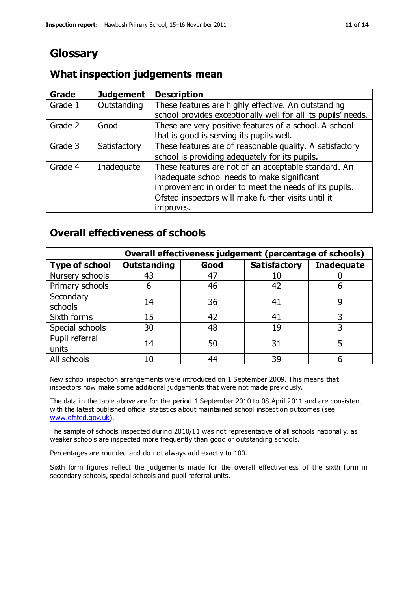# **Glossary**

# **What inspection judgements mean**

| Grade   | <b>Judgement</b> | <b>Description</b>                                                                                                                                           |
|---------|------------------|--------------------------------------------------------------------------------------------------------------------------------------------------------------|
| Grade 1 | Outstanding      | These features are highly effective. An outstanding<br>school provides exceptionally well for all its pupils' needs.                                         |
| Grade 2 | Good             | These are very positive features of a school. A school                                                                                                       |
|         |                  | that is good is serving its pupils well.                                                                                                                     |
| Grade 3 | Satisfactory     | These features are of reasonable quality. A satisfactory                                                                                                     |
|         |                  | school is providing adequately for its pupils.                                                                                                               |
| Grade 4 | Inadequate       | These features are not of an acceptable standard. An<br>inadequate school needs to make significant<br>improvement in order to meet the needs of its pupils. |
|         |                  | Ofsted inspectors will make further visits until it                                                                                                          |
|         |                  | improves.                                                                                                                                                    |

# **Overall effectiveness of schools**

|                       |                    |      | Overall effectiveness judgement (percentage of schools) |                   |
|-----------------------|--------------------|------|---------------------------------------------------------|-------------------|
| <b>Type of school</b> | <b>Outstanding</b> | Good | <b>Satisfactory</b>                                     | <b>Inadequate</b> |
| Nursery schools       | 43                 | 47   | 10                                                      |                   |
| Primary schools       | 6                  | 46   | 42                                                      |                   |
| Secondary             | 14                 | 36   | 41                                                      |                   |
| schools               |                    |      |                                                         |                   |
| Sixth forms           | 15                 | 42   | 41                                                      |                   |
| Special schools       | 30                 | 48   | 19                                                      |                   |
| Pupil referral        | 14                 | 50   | 31                                                      |                   |
| units                 |                    |      |                                                         |                   |
| All schools           | 10                 | 44   | 39                                                      |                   |

New school inspection arrangements were introduced on 1 September 2009. This means that inspectors now make some additional judgements that were not made previously.

The data in the table above are for the period 1 September 2010 to 08 April 2011 and are consistent with the latest published official statistics about maintained school inspection outcomes (see [www.ofsted.gov.uk\)](http://www.ofsted.gov.uk/).

The sample of schools inspected during 2010/11 was not representative of all schools nationally, as weaker schools are inspected more frequently than good or outstanding schools.

Percentages are rounded and do not always add exactly to 100.

Sixth form figures reflect the judgements made for the overall effectiveness of the sixth form in secondary schools, special schools and pupil referral units.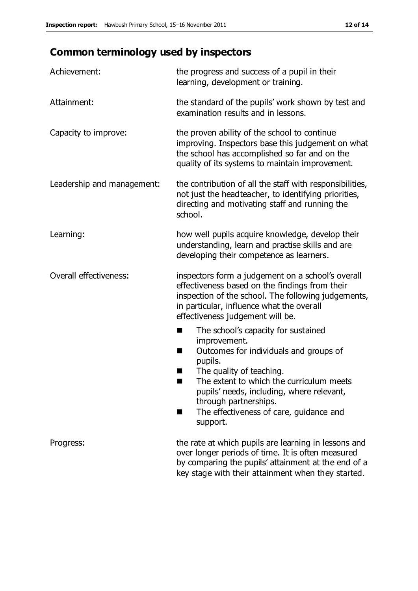# **Common terminology used by inspectors**

| Achievement:               | the progress and success of a pupil in their<br>learning, development or training.                                                                                                                                                                                                                                             |
|----------------------------|--------------------------------------------------------------------------------------------------------------------------------------------------------------------------------------------------------------------------------------------------------------------------------------------------------------------------------|
| Attainment:                | the standard of the pupils' work shown by test and<br>examination results and in lessons.                                                                                                                                                                                                                                      |
| Capacity to improve:       | the proven ability of the school to continue<br>improving. Inspectors base this judgement on what<br>the school has accomplished so far and on the<br>quality of its systems to maintain improvement.                                                                                                                          |
| Leadership and management: | the contribution of all the staff with responsibilities,<br>not just the headteacher, to identifying priorities,<br>directing and motivating staff and running the<br>school.                                                                                                                                                  |
| Learning:                  | how well pupils acquire knowledge, develop their<br>understanding, learn and practise skills and are<br>developing their competence as learners.                                                                                                                                                                               |
| Overall effectiveness:     | inspectors form a judgement on a school's overall<br>effectiveness based on the findings from their<br>inspection of the school. The following judgements,<br>in particular, influence what the overall<br>effectiveness judgement will be.                                                                                    |
|                            | The school's capacity for sustained<br>improvement.<br>Outcomes for individuals and groups of<br>п<br>pupils.<br>The quality of teaching.<br>The extent to which the curriculum meets<br>a s<br>pupils' needs, including, where relevant,<br>through partnerships.<br>The effectiveness of care, guidance and<br>■<br>support. |
| Progress:                  | the rate at which pupils are learning in lessons and<br>over longer periods of time. It is often measured<br>by comparing the pupils' attainment at the end of a<br>key stage with their attainment when they started.                                                                                                         |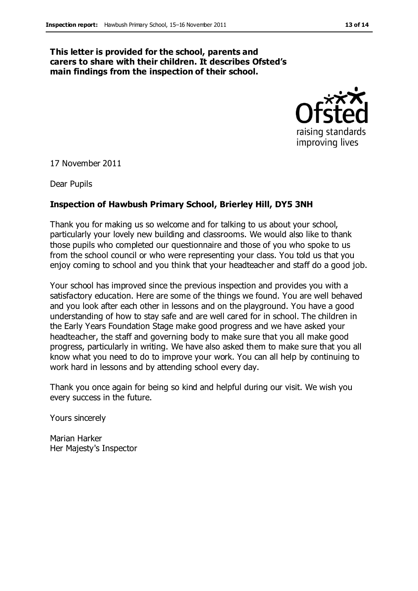### **This letter is provided for the school, parents and carers to share with their children. It describes Ofsted's main findings from the inspection of their school.**



17 November 2011

Dear Pupils

#### **Inspection of Hawbush Primary School, Brierley Hill, DY5 3NH**

Thank you for making us so welcome and for talking to us about your school, particularly your lovely new building and classrooms. We would also like to thank those pupils who completed our questionnaire and those of you who spoke to us from the school council or who were representing your class. You told us that you enjoy coming to school and you think that your headteacher and staff do a good job.

Your school has improved since the previous inspection and provides you with a satisfactory education. Here are some of the things we found. You are well behaved and you look after each other in lessons and on the playground. You have a good understanding of how to stay safe and are well cared for in school. The children in the Early Years Foundation Stage make good progress and we have asked your headteacher, the staff and governing body to make sure that you all make good progress, particularly in writing. We have also asked them to make sure that you all know what you need to do to improve your work. You can all help by continuing to work hard in lessons and by attending school every day.

Thank you once again for being so kind and helpful during our visit. We wish you every success in the future.

Yours sincerely

Marian Harker Her Majesty's Inspector